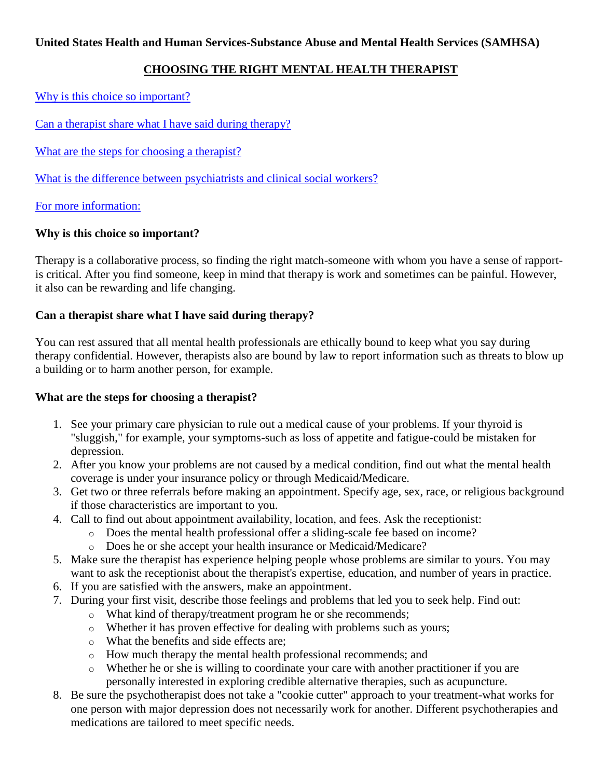# **CHOOSING THE RIGHT MENTAL HEALTH THERAPIST**

[Why is this choice](http://mentalhealth.samhsa.gov/publications/allpubs/KEN98-0046/default.asp#why#why) so important?

[Can a therapist share what I have said during therapy?](http://mentalhealth.samhsa.gov/publications/allpubs/KEN98-0046/default.asp#can#can)

[What are the steps for choosing a therapist?](http://mentalhealth.samhsa.gov/publications/allpubs/KEN98-0046/default.asp#what#what)

[What is the difference between psychiatrists and clinical social workers?](http://mentalhealth.samhsa.gov/publications/allpubs/KEN98-0046/default.asp#diff#diff)

[For more information:](http://mentalhealth.samhsa.gov/publications/allpubs/KEN98-0046/default.asp#info#info)

## **Why is this choice so important?**

Therapy is a collaborative process, so finding the right match-someone with whom you have a sense of rapportis critical. After you find someone, keep in mind that therapy is work and sometimes can be painful. However, it also can be rewarding and life changing.

## **Can a therapist share what I have said during therapy?**

You can rest assured that all mental health professionals are ethically bound to keep what you say during therapy confidential. However, therapists also are bound by law to report information such as threats to blow up a building or to harm another person, for example.

### **What are the steps for choosing a therapist?**

- 1. See your primary care physician to rule out a medical cause of your problems. If your thyroid is "sluggish," for example, your symptoms-such as loss of appetite and fatigue-could be mistaken for depression.
- 2. After you know your problems are not caused by a medical condition, find out what the mental health coverage is under your insurance policy or through Medicaid/Medicare.
- 3. Get two or three referrals before making an appointment. Specify age, sex, race, or religious background if those characteristics are important to you.
- 4. Call to find out about appointment availability, location, and fees. Ask the receptionist:
	- o Does the mental health professional offer a sliding-scale fee based on income?
		- o Does he or she accept your health insurance or Medicaid/Medicare?
- 5. Make sure the therapist has experience helping people whose problems are similar to yours. You may want to ask the receptionist about the therapist's expertise, education, and number of years in practice.
- 6. If you are satisfied with the answers, make an appointment.
- 7. During your first visit, describe those feelings and problems that led you to seek help. Find out:
	- o What kind of therapy/treatment program he or she recommends;
	- o Whether it has proven effective for dealing with problems such as yours;
	- o What the benefits and side effects are;
	- o How much therapy the mental health professional recommends; and
	- o Whether he or she is willing to coordinate your care with another practitioner if you are personally interested in exploring credible alternative therapies, such as acupuncture.
- 8. Be sure the psychotherapist does not take a "cookie cutter" approach to your treatment-what works for one person with major depression does not necessarily work for another. Different psychotherapies and medications are tailored to meet specific needs.